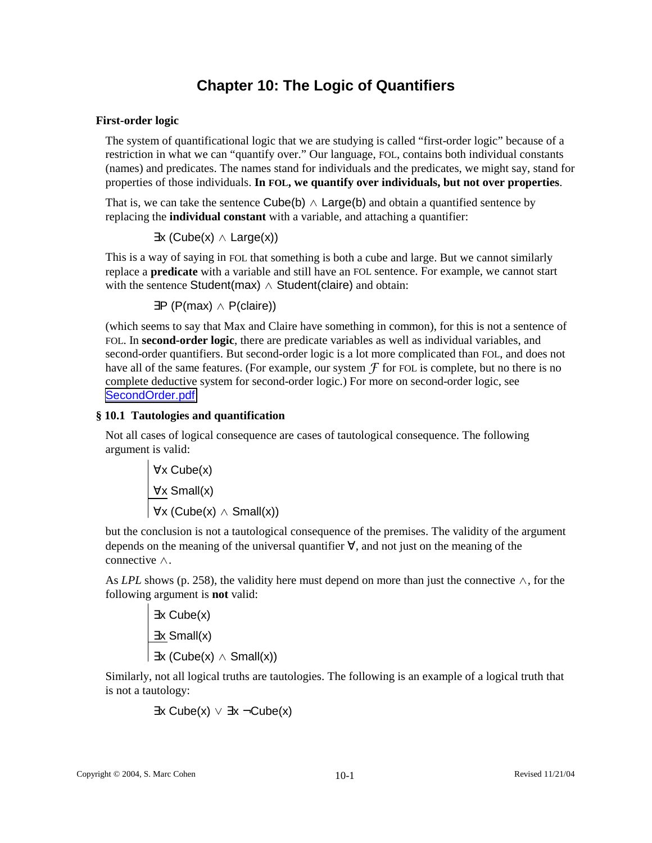# **Chapter 10: The Logic of Quantifiers**

# **First-order logic**

The system of quantificational logic that we are studying is called "first-order logic" because of a restriction in what we can "quantify over." Our language, FOL, contains both individual constants (names) and predicates. The names stand for individuals and the predicates, we might say, stand for properties of those individuals. **In FOL, we quantify over individuals, but not over properties**.

That is, we can take the sentence Cube(b)  $\land$  Large(b) and obtain a quantified sentence by replacing the **individual constant** with a variable, and attaching a quantifier:

 $\exists x (Cube(x) \wedge Large(x))$ 

This is a way of saying in FOL that something is both a cube and large. But we cannot similarly replace a **predicate** with a variable and still have an FOL sentence. For example, we cannot start with the sentence Student(max)  $\land$  Student(claire) and obtain:

∃P (P(max) ∧ P(claire))

(which seems to say that Max and Claire have something in common), for this is not a sentence of FOL. In **second-order logic**, there are predicate variables as well as individual variables, and second-order quantifiers. But second-order logic is a lot more complicated than FOL, and does not have all of the same features. (For example, our system  $\mathcal F$  for FOL is complete, but no there is no complete deductive system for second-order logic.) For more on second-order logic, see SecondOrder.pdf

# **§ 10.1 Tautologies and quantification**

 $\mathbf{r}$ 

Not all cases of logical consequence are cases of tautological consequence. The following argument is valid:

$$
\begin{array}{c}\n\forall x \text{ Cube}(x) \\
\hline\n\forall x \text{ Small}(x) \\
\hline\n\forall x \text{ (Cube(x) } \land \text{Small}(x))\n\end{array}
$$

but the conclusion is not a tautological consequence of the premises. The validity of the argument depends on the meaning of the universal quantifier ∀, and not just on the meaning of the connective ∧.

As *LPL* shows (p. 258), the validity here must depend on more than just the connective ∧, for the following argument is **not** valid:

$$
\frac{\exists x \text{ Cube}(x)}{\exists x \text{ Small}(x)}\\ \overline{\exists x \text{ (Cube(x) } \land \text{Small}(x))}
$$

Similarly, not all logical truths are tautologies. The following is an example of a logical truth that is not a tautology:

$$
\exists x \mathsf{Cube}(x) \lor \exists x \neg \mathsf{Cube}(x)
$$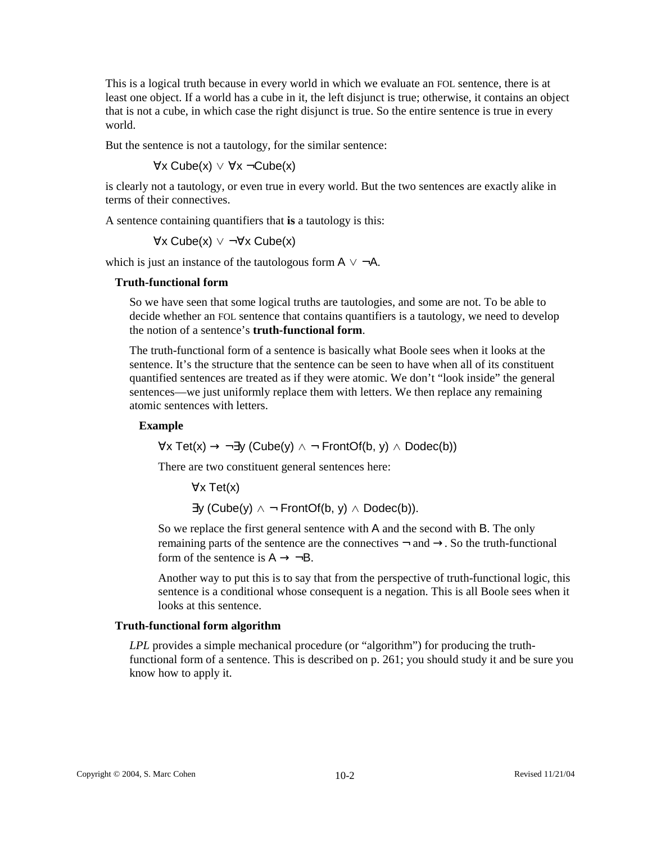This is a logical truth because in every world in which we evaluate an FOL sentence, there is at least one object. If a world has a cube in it, the left disjunct is true; otherwise, it contains an object that is not a cube, in which case the right disjunct is true. So the entire sentence is true in every world.

But the sentence is not a tautology, for the similar sentence:

∀x Cube(x) ∨ ∀x ¬Cube(x)

is clearly not a tautology, or even true in every world. But the two sentences are exactly alike in terms of their connectives.

A sentence containing quantifiers that **is** a tautology is this:

∀x Cube(x) ∨ ¬∀x Cube(x)

which is just an instance of the tautologous form  $A \vee \neg A$ .

#### **Truth-functional form**

So we have seen that some logical truths are tautologies, and some are not. To be able to decide whether an FOL sentence that contains quantifiers is a tautology, we need to develop the notion of a sentence's **truth-functional form**.

The truth-functional form of a sentence is basically what Boole sees when it looks at the sentence. It's the structure that the sentence can be seen to have when all of its constituent quantified sentences are treated as if they were atomic. We don't "look inside" the general sentences—we just uniformly replace them with letters. We then replace any remaining atomic sentences with letters.

#### **Example**

 $\forall x \text{ Tet}(x) \rightarrow \exists y \text{ (Cube}(y) \land \neg \text{ FrontOf}(b, y) \land \text{Dodec}(b))$ 

There are two constituent general sentences here:

∀x Tet(x)

 $\exists y$  (Cube(y)  $\land \neg$  FrontOf(b, y)  $\land$  Dodec(b)).

So we replace the first general sentence with A and the second with B. The only remaining parts of the sentence are the connectives  $\neg$  and  $\rightarrow$ . So the truth-functional form of the sentence is  $A \rightarrow \neg B$ .

Another way to put this is to say that from the perspective of truth-functional logic, this sentence is a conditional whose consequent is a negation. This is all Boole sees when it looks at this sentence.

## **Truth-functional form algorithm**

*LPL* provides a simple mechanical procedure (or "algorithm") for producing the truthfunctional form of a sentence. This is described on p. 261; you should study it and be sure you know how to apply it.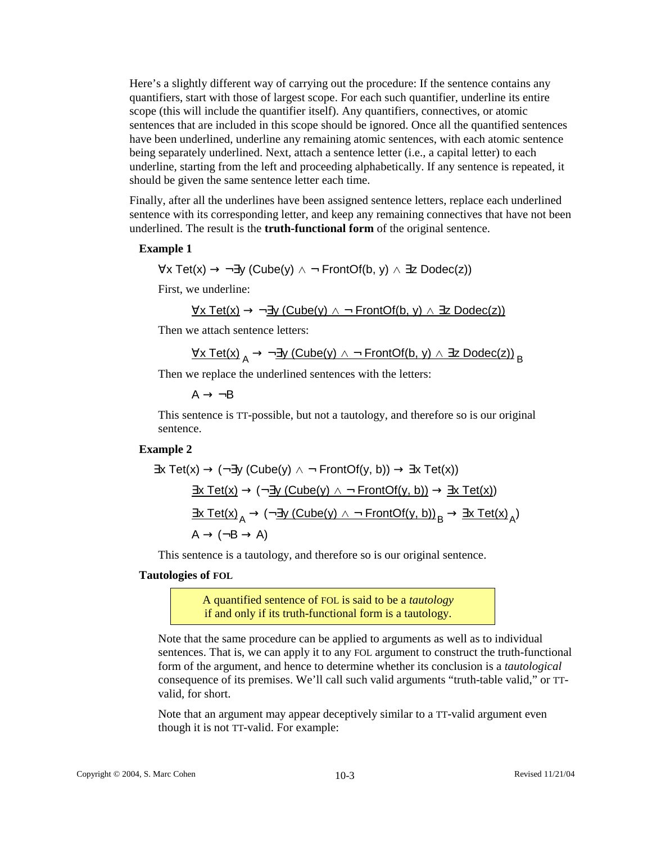Here's a slightly different way of carrying out the procedure: If the sentence contains any quantifiers, start with those of largest scope. For each such quantifier, underline its entire scope (this will include the quantifier itself). Any quantifiers, connectives, or atomic sentences that are included in this scope should be ignored. Once all the quantified sentences have been underlined, underline any remaining atomic sentences, with each atomic sentence being separately underlined. Next, attach a sentence letter (i.e., a capital letter) to each underline, starting from the left and proceeding alphabetically. If any sentence is repeated, it should be given the same sentence letter each time.

Finally, after all the underlines have been assigned sentence letters, replace each underlined sentence with its corresponding letter, and keep any remaining connectives that have not been underlined. The result is the **truth-functional form** of the original sentence.

#### **Example 1**

$$
\forall x \; \text{Tet}(x) \to \neg \exists y \; (\text{Cube}(y) \land \neg \; \text{FrontOf}(b, y) \land \exists z \; \text{Dodec}(z))
$$

First, we underline:

$$
\forall x \; \mathsf{Tet}(x) \to \neg \exists y \; (\mathsf{Cube}(y) \land \neg \; \mathsf{FrontOf}(b, y) \land \exists z \; \mathsf{Dodec}(z))
$$

Then we attach sentence letters:

$$
\forall x \text{ Tet(x)}_A \rightarrow \neg \exists y \text{ (Cube(y)} \land \neg \text{ FrontOf(b, y)} \land \exists z \text{ Dodec(z)})_B
$$

Then we replace the underlined sentences with the letters:

 $A \rightarrow \neg B$ 

This sentence is TT-possible, but not a tautology, and therefore so is our original sentence.

#### **Example 2**

$$
\exists x \; \text{Test}(x) \to (\neg \exists y \; (\text{Cube}(y) \land \neg \; \text{FrontOf}(y, b)) \to \exists x \; \text{Test}(x))
$$
\n
$$
\underline{\exists x \; \text{Test}(x)} \to (\neg \underline{\exists y \; (\text{Cube}(y) \land \neg \; \text{FrontOf}(y, b))} \to \underline{\exists x \; \text{Test}(x)})
$$
\n
$$
\underline{\exists x \; \text{Test}(x)}_A \to (\neg \underline{\exists y \; (\text{Cube}(y) \land \neg \; \text{FrontOf}(y, b))}_B \to \underline{\exists x \; \text{Test}(x)}_A)
$$
\n
$$
A \to (\neg B \to A)
$$

This sentence is a tautology, and therefore so is our original sentence.

#### **Tautologies of FOL**

A quantified sentence of FOL is said to be a *tautology* if and only if its truth-functional form is a tautology.

Note that the same procedure can be applied to arguments as well as to individual sentences. That is, we can apply it to any FOL argument to construct the truth-functional form of the argument, and hence to determine whether its conclusion is a *tautological* consequence of its premises. We'll call such valid arguments "truth-table valid," or TTvalid, for short.

Note that an argument may appear deceptively similar to a TT-valid argument even though it is not TT-valid. For example: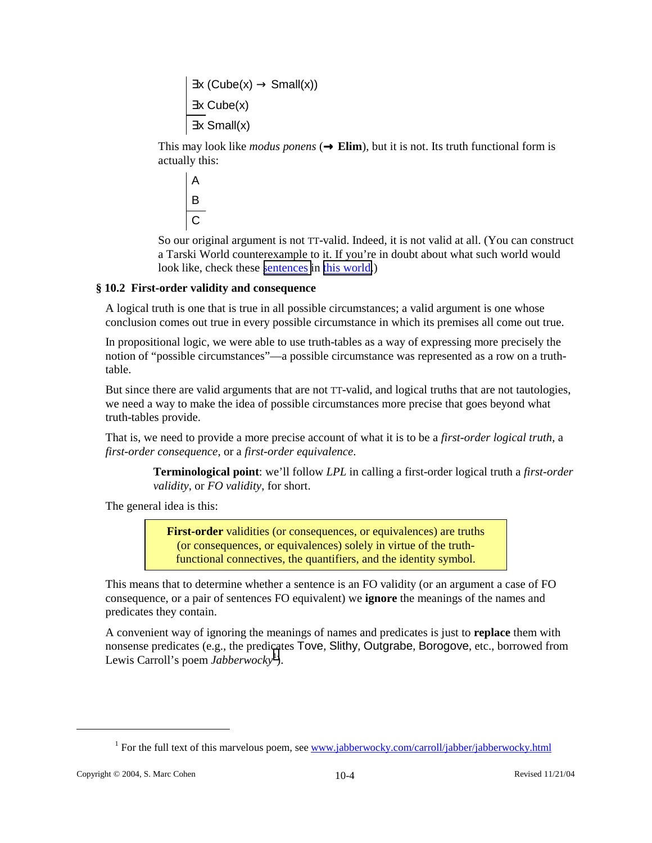$\exists x (Cube(x) \rightarrow Small(x))$ ∃x Cube(x) ∃x Small(x)

This may look like *modus ponens*  $(\rightarrow$  **Elim**), but it is not. Its truth functional form is actually this:

$$
\begin{array}{c}\nA \\
B \\
C\n\end{array}
$$

So our original argument is not TT-valid. Indeed, it is not valid at all. (You can construct a Tarski World counterexample to it. If you're in doubt about what such world would look like, check these sentences in this world.)

# **§ 10.2 First-order validity and consequence**

A logical truth is one that is true in all possible circumstances; a valid argument is one whose conclusion comes out true in every possible circumstance in which its premises all come out true.

In propositional logic, we were able to use truth-tables as a way of expressing more precisely the notion of "possible circumstances"—a possible circumstance was represented as a row on a truthtable.

But since there are valid arguments that are not TT-valid, and logical truths that are not tautologies, we need a way to make the idea of possible circumstances more precise that goes beyond what truth-tables provide.

That is, we need to provide a more precise account of what it is to be a *first-order logical truth*, a *first-order consequence*, or a *first-order equivalence*.

> **Terminological point**: we'll follow *LPL* in calling a first-order logical truth a *first-order validity*, or *FO validity*, for short.

The general idea is this:

**First-order** validities (or consequences, or equivalences) are truths (or consequences, or equivalences) solely in virtue of the truthfunctional connectives, the quantifiers, and the identity symbol.

This means that to determine whether a sentence is an FO validity (or an argument a case of FO consequence, or a pair of sentences FO equivalent) we **ignore** the meanings of the names and predicates they contain.

A convenient way of ignoring the meanings of names and predicates is just to **replace** them with nonsense predicates (e.g., the predicates Tove, Slithy, Outgrabe, Borogove, etc., borrowed from Lewis Carroll's poem *Jabberwocky*<sup>1</sup>).

 $\overline{\phantom{a}}$ 

<sup>&</sup>lt;sup>1</sup> For the full text of this marvelous poem, see www.jabberwocky.com/carroll/jabber/jabberwocky.html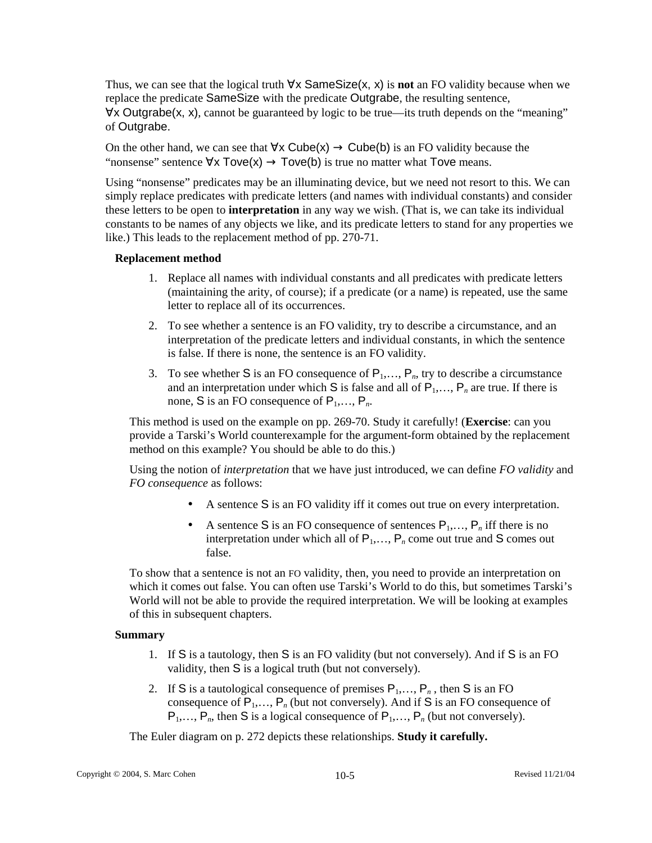Thus, we can see that the logical truth ∀x SameSize(x, x) is **not** an FO validity because when we replace the predicate SameSize with the predicate Outgrabe, the resulting sentence, ∀x Outgrabe(x, x), cannot be guaranteed by logic to be true—its truth depends on the "meaning" of Outgrabe.

On the other hand, we can see that  $\forall x$  Cube(x)  $\rightarrow$  Cube(b) is an FO validity because the "nonsense" sentence  $\forall x \text{Tove}(x) \rightarrow \text{Tove}(b)$  is true no matter what Tove means.

Using "nonsense" predicates may be an illuminating device, but we need not resort to this. We can simply replace predicates with predicate letters (and names with individual constants) and consider these letters to be open to **interpretation** in any way we wish. (That is, we can take its individual constants to be names of any objects we like, and its predicate letters to stand for any properties we like.) This leads to the replacement method of pp. 270-71.

# **Replacement method**

- 1. Replace all names with individual constants and all predicates with predicate letters (maintaining the arity, of course); if a predicate (or a name) is repeated, use the same letter to replace all of its occurrences.
- 2. To see whether a sentence is an FO validity, try to describe a circumstance, and an interpretation of the predicate letters and individual constants, in which the sentence is false. If there is none, the sentence is an FO validity.
- 3. To see whether S is an FO consequence of  $P_1, \ldots, P_n$ , try to describe a circumstance and an interpretation under which  $S$  is false and all of  $P_1, \ldots, P_n$  are true. If there is none, S is an FO consequence of  $P_1, \ldots, P_n$ .

This method is used on the example on pp. 269-70. Study it carefully! (**Exercise**: can you provide a Tarski's World counterexample for the argument-form obtained by the replacement method on this example? You should be able to do this.)

Using the notion of *interpretation* that we have just introduced, we can define *FO validity* and *FO consequence* as follows:

- A sentence S is an FO validity iff it comes out true on every interpretation.
- A sentence S is an FO consequence of sentences  $P_1, \ldots, P_n$  iff there is no interpretation under which all of  $P_1, \ldots, P_n$  come out true and S comes out false.

To show that a sentence is not an FO validity, then, you need to provide an interpretation on which it comes out false. You can often use Tarski's World to do this, but sometimes Tarski's World will not be able to provide the required interpretation. We will be looking at examples of this in subsequent chapters.

# **Summary**

- 1. If S is a tautology, then S is an FO validity (but not conversely). And if S is an FO validity, then S is a logical truth (but not conversely).
- 2. If S is a tautological consequence of premises  $P_1, \ldots, P_n$ , then S is an FO consequence of  $P_1, \ldots, P_n$  (but not conversely). And if S is an FO consequence of  $P_1, \ldots, P_n$ , then S is a logical consequence of  $P_1, \ldots, P_n$  (but not conversely).

The Euler diagram on p. 272 depicts these relationships. **Study it carefully.**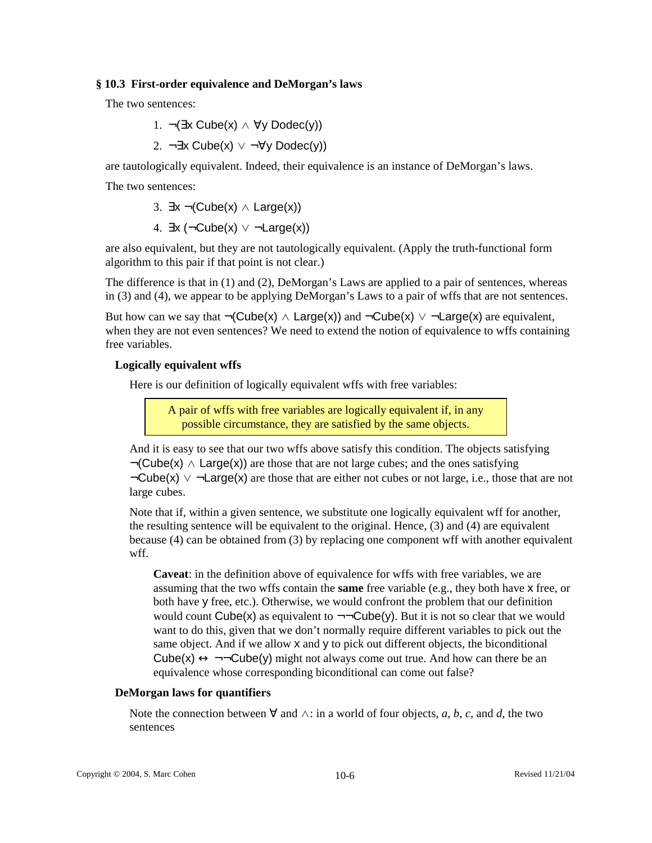## **§ 10.3 First-order equivalence and DeMorgan's laws**

The two sentences:

1. 
$$
\neg (\exists x \text{ Cube}(x) \land \forall y \text{Nodec}(y))
$$

2. ¬∃x Cube(x) ∨ ¬∀y Dodec(y))

are tautologically equivalent. Indeed, their equivalence is an instance of DeMorgan's laws.

The two sentences:

3. 
$$
\exists x \neg (Cube(x) \land Large(x))
$$

4.  $\exists x (\neg Cube(x) \lor \neg Large(x))$ 

are also equivalent, but they are not tautologically equivalent. (Apply the truth-functional form algorithm to this pair if that point is not clear.)

The difference is that in (1) and (2), DeMorgan's Laws are applied to a pair of sentences, whereas in (3) and (4), we appear to be applying DeMorgan's Laws to a pair of wffs that are not sentences.

But how can we say that  $\neg$ (Cube(x)  $\land$  Large(x)) and  $\neg$ Cube(x)  $\lor$   $\neg$ Large(x) are equivalent, when they are not even sentences? We need to extend the notion of equivalence to wffs containing free variables.

# **Logically equivalent wffs**

Here is our definition of logically equivalent wffs with free variables:

A pair of wffs with free variables are logically equivalent if, in any possible circumstance, they are satisfied by the same objects.

And it is easy to see that our two wffs above satisfy this condition. The objects satisfying  $\neg$ (Cube(x)  $\land$  Large(x)) are those that are not large cubes; and the ones satisfying  $\neg Cube(x) \lor \neg Large(x)$  are those that are either not cubes or not large, i.e., those that are not large cubes.

Note that if, within a given sentence, we substitute one logically equivalent wff for another, the resulting sentence will be equivalent to the original. Hence, (3) and (4) are equivalent because (4) can be obtained from (3) by replacing one component wff with another equivalent wff.

**Caveat**: in the definition above of equivalence for wffs with free variables, we are assuming that the two wffs contain the **same** free variable (e.g., they both have x free, or both have y free, etc.). Otherwise, we would confront the problem that our definition would count Cube(x) as equivalent to  $\neg\neg \text{Cube}(y)$ . But it is not so clear that we would want to do this, given that we don't normally require different variables to pick out the same object. And if we allow x and y to pick out different objects, the biconditional Cube(x)  $\leftrightarrow \neg\neg \text{Cube}(y)$  might not always come out true. And how can there be an equivalence whose corresponding biconditional can come out false?

# **DeMorgan laws for quantifiers**

Note the connection between ∀ and ∧: in a world of four objects, *a*, *b*, *c*, and *d*, the two sentences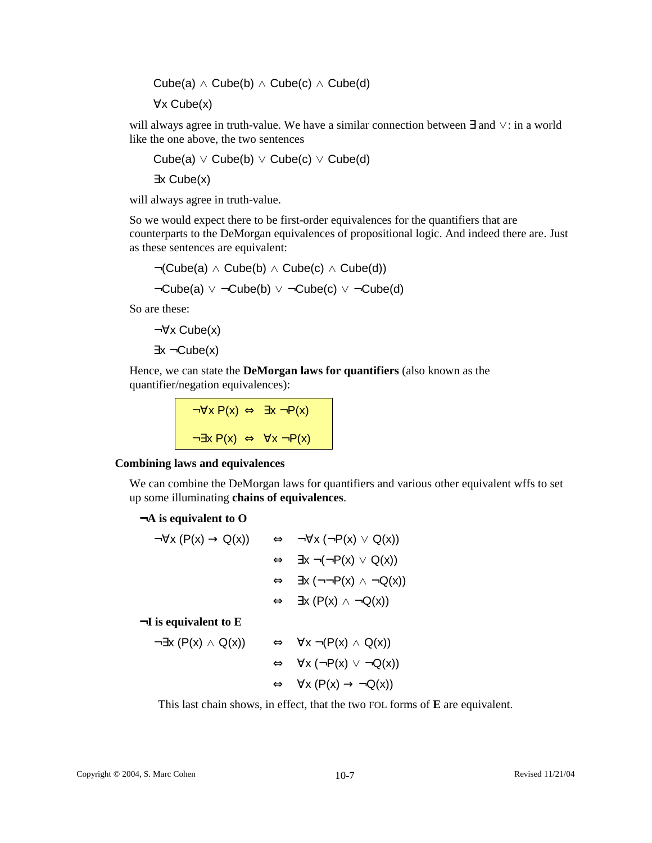Cube(a)  $\land$  Cube(b)  $\land$  Cube(c)  $\land$  Cube(d)

∀x Cube(x)

will always agree in truth-value. We have a similar connection between ∃ and ∨: in a world like the one above, the two sentences

 $Cube(a) \vee Cube(b) \vee Cube(c) \vee Cube(d)$ ∃x Cube(x)

will always agree in truth-value.

So we would expect there to be first-order equivalences for the quantifiers that are counterparts to the DeMorgan equivalences of propositional logic. And indeed there are. Just as these sentences are equivalent:

$$
\neg(\mathsf{Cube}(a) \land \mathsf{Cube}(b) \land \mathsf{Cube}(c) \land \mathsf{Cube}(d))
$$
  

$$
\neg \mathsf{Cube}(a) \lor \neg \mathsf{Cube}(b) \lor \neg \mathsf{Cube}(c) \lor \neg \mathsf{Cube}(d)
$$

So are these:

¬∀x Cube(x) ∃x ¬Cube(x)

Hence, we can state the **DeMorgan laws for quantifiers** (also known as the quantifier/negation equivalences):

$$
\neg \forall x \ P(x) \Leftrightarrow \exists x \ \neg P(x)
$$
\n
$$
\neg \exists x \ P(x) \Leftrightarrow \forall x \ \neg P(x)
$$

## **Combining laws and equivalences**

We can combine the DeMorgan laws for quantifiers and various other equivalent wffs to set up some illuminating **chains of equivalences**.

## ¬**A is equivalent to O**

| $\neg \forall x (P(x) \rightarrow Q(x))$ | $\Leftrightarrow \neg \forall x (\neg P(x) \vee Q(x))$         |
|------------------------------------------|----------------------------------------------------------------|
|                                          | $\Leftrightarrow$ $\exists x \neg (\neg P(x) \lor Q(x))$       |
|                                          | $\Leftrightarrow$ $\exists x (\neg \neg P(x) \land \neg Q(x))$ |
|                                          | $\Leftrightarrow$ $\exists x (P(x) \land \neg Q(x))$           |
|                                          |                                                                |

¬**I is equivalent to E** 

$$
\neg \exists x (P(x) \land Q(x)) \qquad \Leftrightarrow \forall x \neg (P(x) \land Q(x))
$$
  

$$
\Leftrightarrow \forall x (\neg P(x) \lor \neg Q(x))
$$
  

$$
\Leftrightarrow \forall x (P(x) \rightarrow \neg Q(x))
$$

This last chain shows, in effect, that the two FOL forms of **E** are equivalent.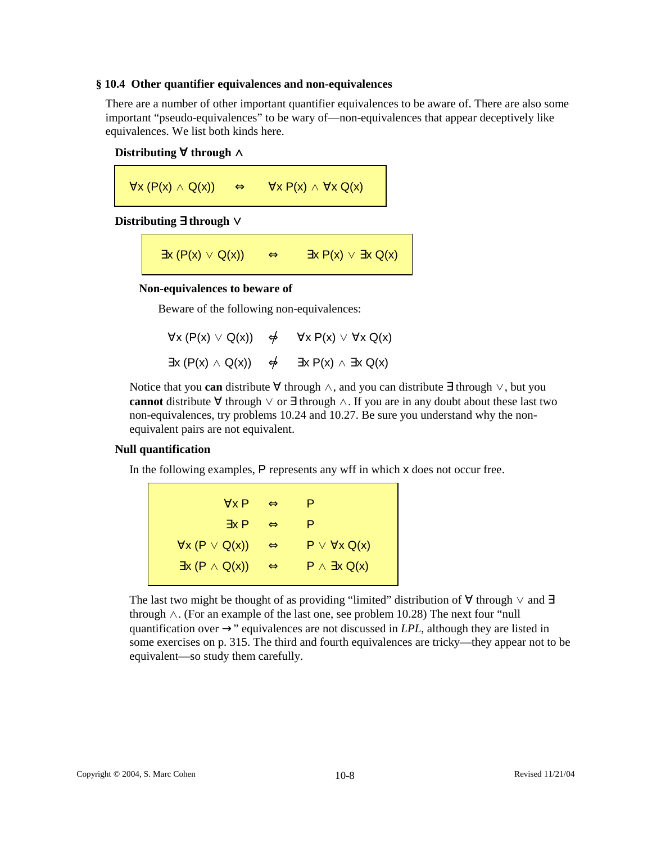#### **§ 10.4 Other quantifier equivalences and non-equivalences**

There are a number of other important quantifier equivalences to be aware of. There are also some important "pseudo-equivalences" to be wary of—non-equivalences that appear deceptively like equivalences. We list both kinds here.

# **Distributing** ∀ **through** ∧

 $\forall x (P(x) \land Q(x)) \Leftrightarrow \forall x P(x) \land \forall x Q(x)$ 

## **Distributing** ∃ **through** ∨

 $\exists x (P(x) \vee Q(x)) \Leftrightarrow \exists x P(x) \vee \exists x Q(x)$ 

## **Non-equivalences to beware of**

Beware of the following non-equivalences:

|  | $\forall x (P(x) \vee Q(x)) \Leftrightarrow \forall x P(x) \vee \forall x Q(x)$   |
|--|-----------------------------------------------------------------------------------|
|  | $\exists x (P(x) \land Q(x)) \Leftrightarrow \exists x P(x) \land \exists x Q(x)$ |

Notice that you **can** distribute ∀ through ∧, and you can distribute ∃ through ∨, but you **cannot** distribute ∀ through ∨ or ∃ through ∧. If you are in any doubt about these last two non-equivalences, try problems 10.24 and 10.27. Be sure you understand why the nonequivalent pairs are not equivalent.

## **Null quantification**

In the following examples, P represents any wff in which x does not occur free.

∀x P ⇔ P ∃x P ⇔ P  $\forall x (P \lor Q(x)) \Leftrightarrow P \lor \forall x Q(x)$  $\exists x (P \land Q(x)) \Leftrightarrow P \land \exists x Q(x)$ 

The last two might be thought of as providing "limited" distribution of  $\forall$  through  $\lor$  and  $\exists$ through  $\wedge$ . (For an example of the last one, see problem 10.28) The next four "null quantification over  $\rightarrow$ " equivalences are not discussed in *LPL*, although they are listed in some exercises on p. 315. The third and fourth equivalences are tricky—they appear not to be equivalent—so study them carefully.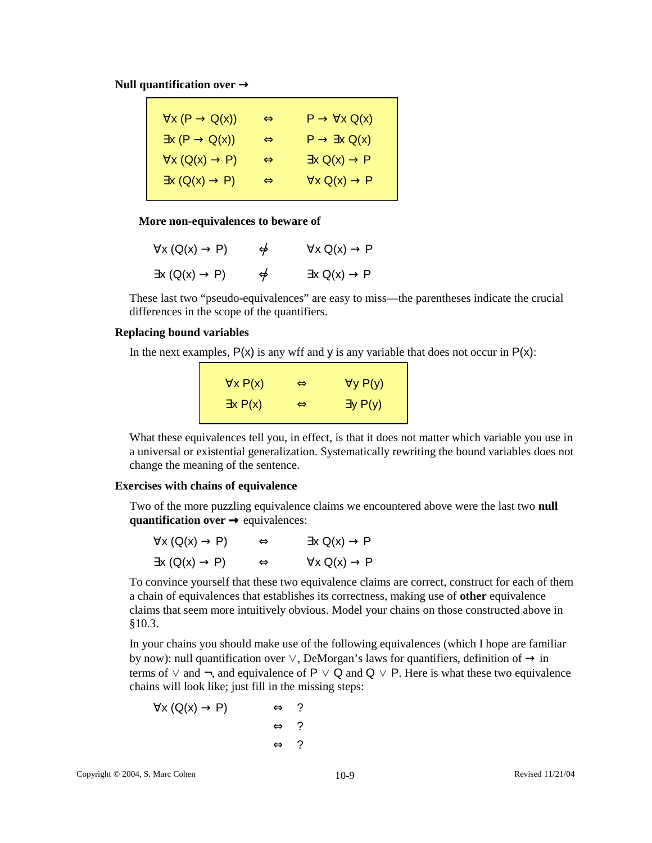**Null quantification over** →

| $\forall x (P \rightarrow Q(x))$ | $\Leftrightarrow$ | $P \rightarrow \forall x Q(x)$   |
|----------------------------------|-------------------|----------------------------------|
| $\exists x (P \rightarrow Q(x))$ | $\Leftrightarrow$ | $P \rightarrow \exists x Q(x)$   |
| $\forall x (Q(x) \rightarrow P)$ | $\Leftrightarrow$ | $\exists x \ Q(x) \rightarrow P$ |
| $\exists x (Q(x) \rightarrow P)$ | $\Leftrightarrow$ | $\forall x Q(x) \rightarrow P$   |
|                                  |                   |                                  |

#### **More non-equivalences to beware of**

| $\forall x (Q(x) \rightarrow P)$ | $\phi$ | $\forall x \ Q(x) \rightarrow P$ |
|----------------------------------|--------|----------------------------------|
| $\exists x (Q(x) \rightarrow P)$ | $\phi$ | $\exists x \ Q(x) \rightarrow P$ |

These last two "pseudo-equivalences" are easy to miss—the parentheses indicate the crucial differences in the scope of the quantifiers.

## **Replacing bound variables**

In the next examples,  $P(x)$  is any wff and y is any variable that does not occur in  $P(x)$ :

| $\forall x P(x)$ | $\iff$            | $\forall y P(y)$ |
|------------------|-------------------|------------------|
| $\exists x P(x)$ | $\Leftrightarrow$ | $\exists y P(y)$ |

What these equivalences tell you, in effect, is that it does not matter which variable you use in a universal or existential generalization. Systematically rewriting the bound variables does not change the meaning of the sentence.

## **Exercises with chains of equivalence**

Two of the more puzzling equivalence claims we encountered above were the last two **null quantification over → equivalences:** 

| $\forall x (Q(x) \rightarrow P)$ | $\Leftrightarrow$ | $\exists x \ Q(x) \rightarrow P$  |
|----------------------------------|-------------------|-----------------------------------|
| $\exists x (Q(x) \rightarrow P)$ | $\Leftrightarrow$ | $\forall x \; Q(x) \rightarrow P$ |

To convince yourself that these two equivalence claims are correct, construct for each of them a chain of equivalences that establishes its correctness, making use of **other** equivalence claims that seem more intuitively obvious. Model your chains on those constructed above in §10.3.

In your chains you should make use of the following equivalences (which I hope are familiar by now): null quantification over  $\vee$ , DeMorgan's laws for quantifiers, definition of  $\rightarrow$  in terms of ∨ and  $\neg$ , and equivalence of P ∨ Q and Q ∨ P. Here is what these two equivalence chains will look like; just fill in the missing steps:

$$
\forall x (Q(x) \rightarrow P) \qquad \Leftrightarrow \qquad ?
$$
  

$$
\Leftrightarrow \qquad ?
$$
  

$$
\Leftrightarrow \qquad ?
$$